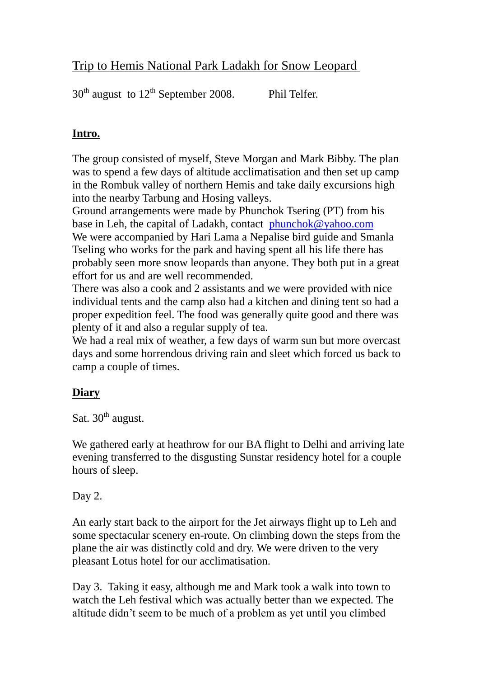## Trip to Hemis National Park Ladakh for Snow Leopard

 $30<sup>th</sup>$  august to  $12<sup>th</sup>$  September 2008. Phil Telfer.

## **Intro.**

The group consisted of myself, Steve Morgan and Mark Bibby. The plan was to spend a few days of altitude acclimatisation and then set up camp in the Rombuk valley of northern Hemis and take daily excursions high into the nearby Tarbung and Hosing valleys.

Ground arrangements were made by Phunchok Tsering (PT) from his base in Leh, the capital of Ladakh, contact [phunchok@yahoo.com](mailto:phunchok@yahoo.com) We were accompanied by Hari Lama a Nepalise bird guide and Smanla Tseling who works for the park and having spent all his life there has probably seen more snow leopards than anyone. They both put in a great effort for us and are well recommended.

There was also a cook and 2 assistants and we were provided with nice individual tents and the camp also had a kitchen and dining tent so had a proper expedition feel. The food was generally quite good and there was plenty of it and also a regular supply of tea.

We had a real mix of weather, a few days of warm sun but more overcast days and some horrendous driving rain and sleet which forced us back to camp a couple of times.

## **Diary**

Sat.  $30<sup>th</sup>$  august.

We gathered early at heathrow for our BA flight to Delhi and arriving late evening transferred to the disgusting Sunstar residency hotel for a couple hours of sleep.

## Day 2.

An early start back to the airport for the Jet airways flight up to Leh and some spectacular scenery en-route. On climbing down the steps from the plane the air was distinctly cold and dry. We were driven to the very pleasant Lotus hotel for our acclimatisation.

Day 3. Taking it easy, although me and Mark took a walk into town to watch the Leh festival which was actually better than we expected. The altitude didn't seem to be much of a problem as yet until you climbed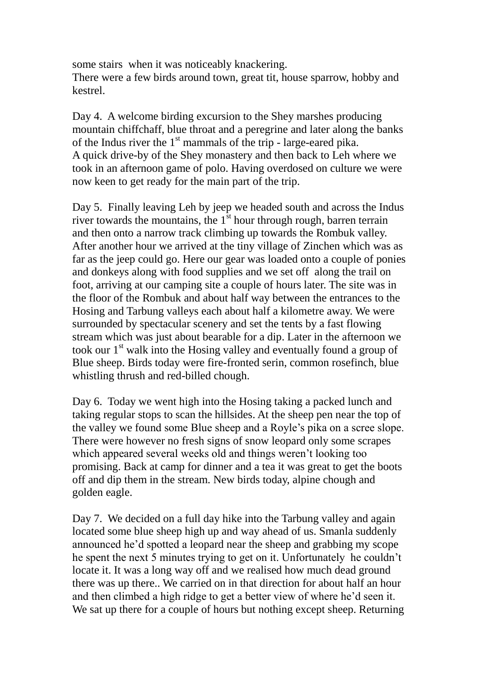some stairs when it was noticeably knackering. There were a few birds around town, great tit, house sparrow, hobby and kestrel.

Day 4. A welcome birding excursion to the Shey marshes producing mountain chiffchaff, blue throat and a peregrine and later along the banks of the Indus river the  $1<sup>st</sup>$  mammals of the trip - large-eared pika. A quick drive-by of the Shey monastery and then back to Leh where we took in an afternoon game of polo. Having overdosed on culture we were now keen to get ready for the main part of the trip.

Day 5. Finally leaving Leh by jeep we headed south and across the Indus river towards the mountains, the  $1<sup>st</sup>$  hour through rough, barren terrain and then onto a narrow track climbing up towards the Rombuk valley. After another hour we arrived at the tiny village of Zinchen which was as far as the jeep could go. Here our gear was loaded onto a couple of ponies and donkeys along with food supplies and we set off along the trail on foot, arriving at our camping site a couple of hours later. The site was in the floor of the Rombuk and about half way between the entrances to the Hosing and Tarbung valleys each about half a kilometre away. We were surrounded by spectacular scenery and set the tents by a fast flowing stream which was just about bearable for a dip. Later in the afternoon we took our 1<sup>st</sup> walk into the Hosing valley and eventually found a group of Blue sheep. Birds today were fire-fronted serin, common rosefinch, blue whistling thrush and red-billed chough.

Day 6. Today we went high into the Hosing taking a packed lunch and taking regular stops to scan the hillsides. At the sheep pen near the top of the valley we found some Blue sheep and a Royle's pika on a scree slope. There were however no fresh signs of snow leopard only some scrapes which appeared several weeks old and things weren't looking too promising. Back at camp for dinner and a tea it was great to get the boots off and dip them in the stream. New birds today, alpine chough and golden eagle.

Day 7. We decided on a full day hike into the Tarbung valley and again located some blue sheep high up and way ahead of us. Smanla suddenly announced he'd spotted a leopard near the sheep and grabbing my scope he spent the next 5 minutes trying to get on it. Unfortunately he couldn't locate it. It was a long way off and we realised how much dead ground there was up there.. We carried on in that direction for about half an hour and then climbed a high ridge to get a better view of where he'd seen it. We sat up there for a couple of hours but nothing except sheep. Returning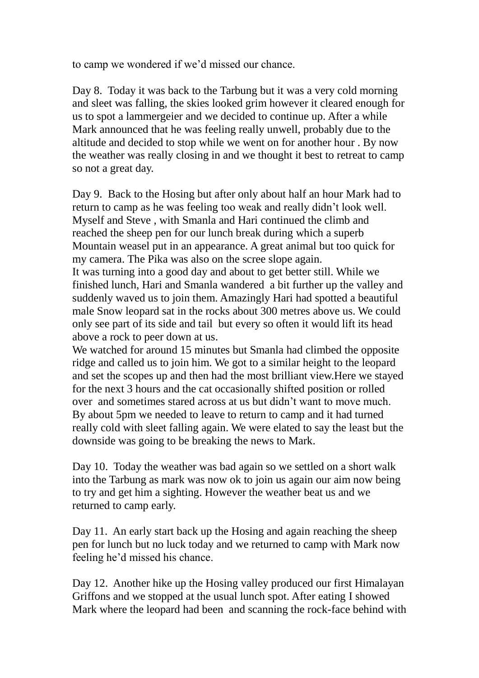to camp we wondered if we'd missed our chance.

Day 8. Today it was back to the Tarbung but it was a very cold morning and sleet was falling, the skies looked grim however it cleared enough for us to spot a lammergeier and we decided to continue up. After a while Mark announced that he was feeling really unwell, probably due to the altitude and decided to stop while we went on for another hour . By now the weather was really closing in and we thought it best to retreat to camp so not a great day.

Day 9. Back to the Hosing but after only about half an hour Mark had to return to camp as he was feeling too weak and really didn't look well. Myself and Steve , with Smanla and Hari continued the climb and reached the sheep pen for our lunch break during which a superb Mountain weasel put in an appearance. A great animal but too quick for my camera. The Pika was also on the scree slope again. It was turning into a good day and about to get better still. While we

finished lunch, Hari and Smanla wandered a bit further up the valley and suddenly waved us to join them. Amazingly Hari had spotted a beautiful male Snow leopard sat in the rocks about 300 metres above us. We could only see part of its side and tail but every so often it would lift its head above a rock to peer down at us.

We watched for around 15 minutes but Smanla had climbed the opposite ridge and called us to join him. We got to a similar height to the leopard and set the scopes up and then had the most brilliant view.Here we stayed for the next 3 hours and the cat occasionally shifted position or rolled over and sometimes stared across at us but didn't want to move much. By about 5pm we needed to leave to return to camp and it had turned really cold with sleet falling again. We were elated to say the least but the downside was going to be breaking the news to Mark.

Day 10. Today the weather was bad again so we settled on a short walk into the Tarbung as mark was now ok to join us again our aim now being to try and get him a sighting. However the weather beat us and we returned to camp early.

Day 11. An early start back up the Hosing and again reaching the sheep pen for lunch but no luck today and we returned to camp with Mark now feeling he'd missed his chance.

Day 12. Another hike up the Hosing valley produced our first Himalayan Griffons and we stopped at the usual lunch spot. After eating I showed Mark where the leopard had been and scanning the rock-face behind with